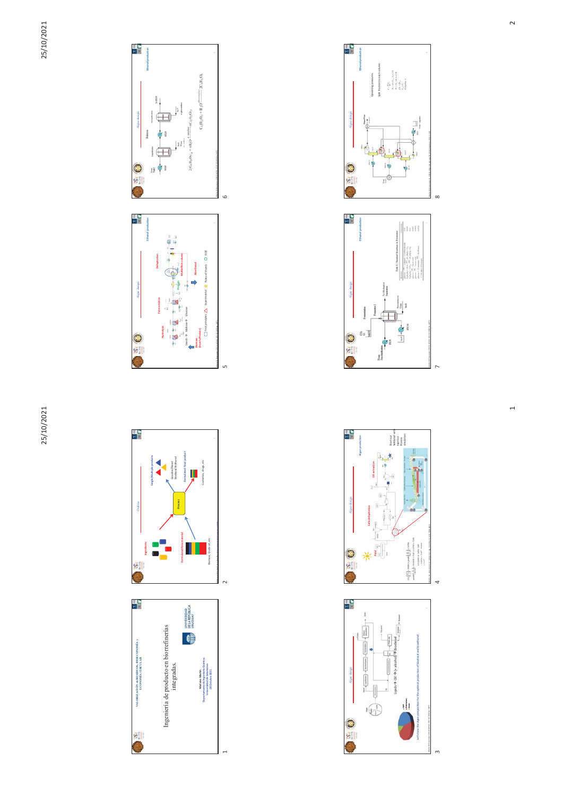





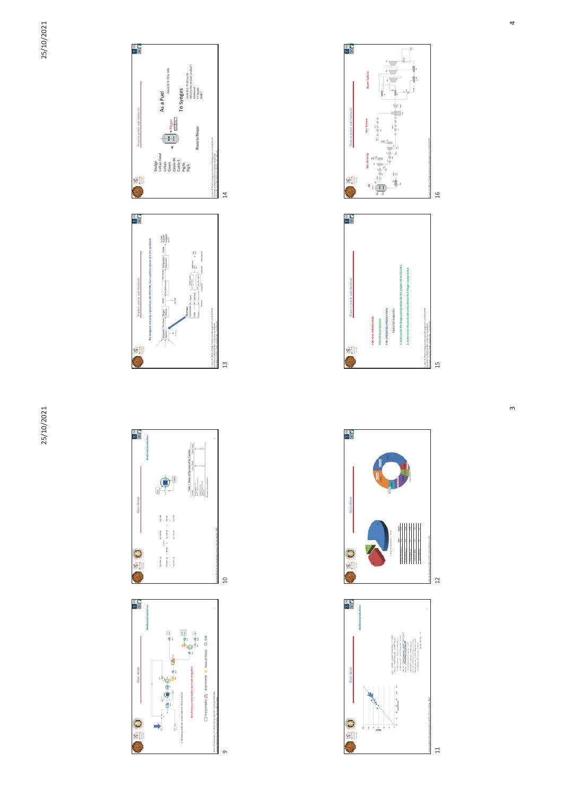



4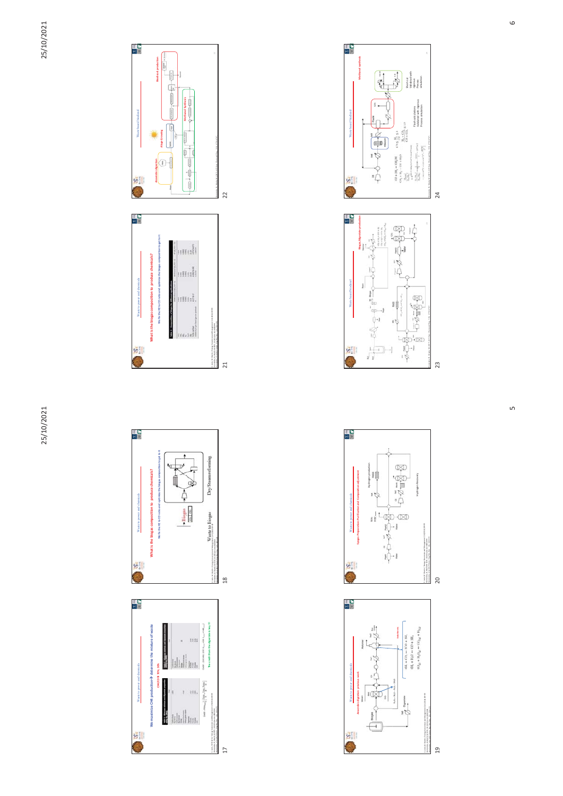





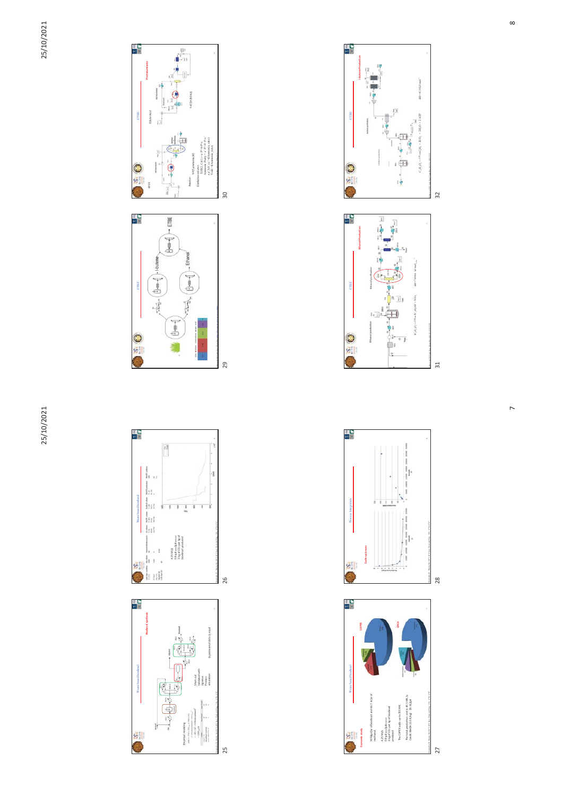





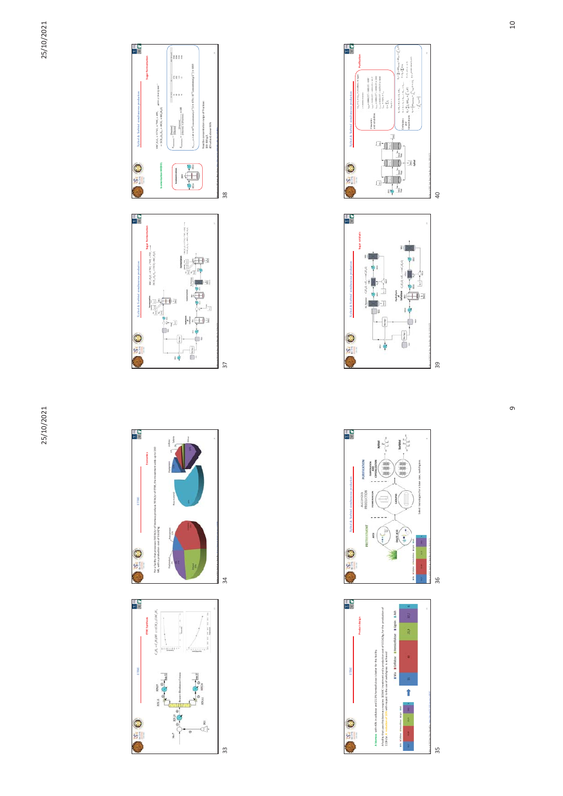

ETBE

 $\frac{1}{2}$ 

 $\begin{bmatrix} 1 & 0 & 0 \\ 0 & 0 & 0 \\ 0 & 0 & 0 \\ 0 & 0 & 0 \\ 0 & 0 & 0 \\ 0 & 0 & 0 \\ 0 & 0 & 0 \\ 0 & 0 & 0 \\ 0 & 0 & 0 \\ 0 & 0 & 0 \\ 0 & 0 & 0 \\ 0 & 0 & 0 \\ 0 & 0 & 0 \\ 0 & 0 & 0 \\ 0 & 0 & 0 & 0 \\ 0 & 0 & 0 & 0 \\ 0 & 0 & 0 & 0 \\ 0 & 0 & 0 & 0 \\ 0 & 0 & 0 & 0 & 0 \\ 0 & 0 & 0 & 0 & 0 \\ 0 & 0 & 0 &$ 

 $\begin{picture}(150,10) \put(0,0){\line(1,0){10}} \put(15,0){\line(1,0){10}} \put(15,0){\line(1,0){10}} \put(15,0){\line(1,0){10}} \put(15,0){\line(1,0){10}} \put(15,0){\line(1,0){10}} \put(15,0){\line(1,0){10}} \put(15,0){\line(1,0){10}} \put(15,0){\line(1,0){10}} \put(15,0){\line(1,0){10}} \put(15,0){\line(1,0){10}} \put(15,0){\line($ 

 $\bullet$  2

 $\triangleq$  $\ddot{\circ}$ 

 $\frac{33}{2}$ 



35

Purification

Ŀ

지역

თ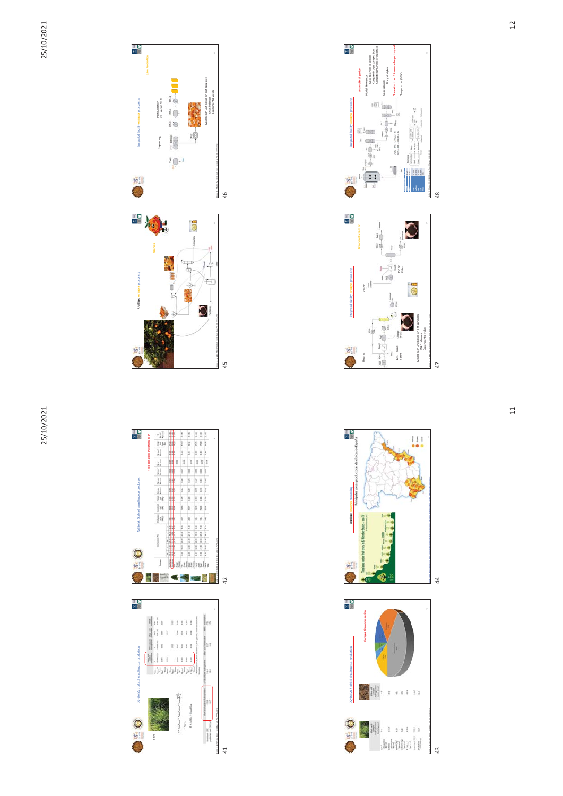







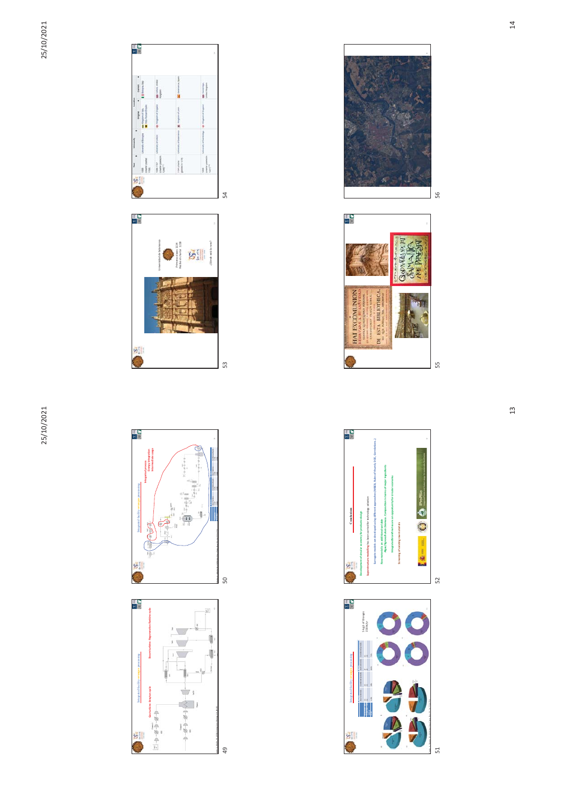25/10/2021



León E., Martín, M. (2016) Energ. Conv. Manag. 114, 89–99

ا<br>49<br>49

1京。

 $-8-6-1$ **STI** 



51 52

55 56

55 56

56

k d